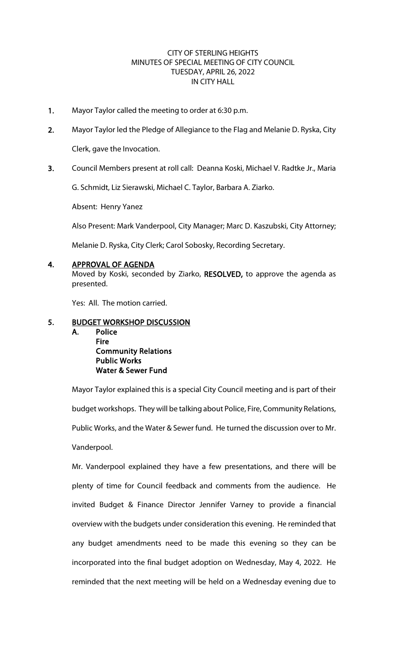## CITY OF STERLING HEIGHTS MINUTES OF SPECIAL MEETING OF CITY COUNCIL TUESDAY, APRIL 26, 2022 IN CITY HALL

- 1. Mayor Taylor called the meeting to order at 6:30 p.m.
- 2. Mayor Taylor led the Pledge of Allegiance to the Flag and Melanie D. Ryska, City Clerk, gave the Invocation.
- 3. Council Members present at roll call: Deanna Koski, Michael V. Radtke Jr., Maria

G. Schmidt, Liz Sierawski, Michael C. Taylor, Barbara A. Ziarko.

Absent: Henry Yanez

Also Present: Mark Vanderpool, City Manager; Marc D. Kaszubski, City Attorney;

Melanie D. Ryska, City Clerk; Carol Sobosky, Recording Secretary.

## 4. APPROVAL OF AGENDA

Moved by Koski, seconded by Ziarko, RESOLVED, to approve the agenda as presented.

Yes: All. The motion carried.

## 5. BUDGET WORKSHOP DISCUSSION

A. Police

**Fire**  Community Relations Public Works Water & Sewer Fund

Mayor Taylor explained this is a special City Council meeting and is part of their budget workshops. They will be talking about Police, Fire, Community Relations, Public Works, and the Water & Sewer fund. He turned the discussion over to Mr. Vanderpool.

Mr. Vanderpool explained they have a few presentations, and there will be plenty of time for Council feedback and comments from the audience. He invited Budget & Finance Director Jennifer Varney to provide a financial overview with the budgets under consideration this evening. He reminded that any budget amendments need to be made this evening so they can be incorporated into the final budget adoption on Wednesday, May 4, 2022. He reminded that the next meeting will be held on a Wednesday evening due to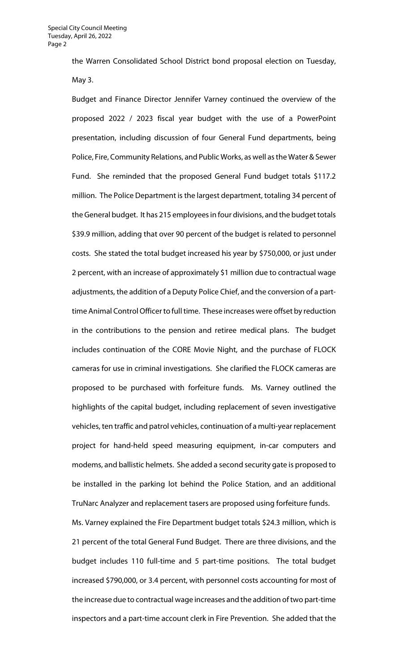the Warren Consolidated School District bond proposal election on Tuesday, May 3.

Budget and Finance Director Jennifer Varney continued the overview of the proposed 2022 / 2023 fiscal year budget with the use of a PowerPoint presentation, including discussion of four General Fund departments, being Police, Fire, Community Relations, and Public Works, as well as the Water & Sewer Fund. She reminded that the proposed General Fund budget totals \$117.2 million. The Police Department is the largest department, totaling 34 percent of the General budget. It has 215 employees in four divisions, and the budget totals \$39.9 million, adding that over 90 percent of the budget is related to personnel costs. She stated the total budget increased his year by \$750,000, or just under 2 percent, with an increase of approximately \$1 million due to contractual wage adjustments, the addition of a Deputy Police Chief, and the conversion of a parttime Animal Control Officer to full time. These increases were offset by reduction in the contributions to the pension and retiree medical plans. The budget includes continuation of the CORE Movie Night, and the purchase of FLOCK cameras for use in criminal investigations. She clarified the FLOCK cameras are proposed to be purchased with forfeiture funds. Ms. Varney outlined the highlights of the capital budget, including replacement of seven investigative vehicles, ten traffic and patrol vehicles, continuation of a multi-year replacement project for hand-held speed measuring equipment, in-car computers and modems, and ballistic helmets. She added a second security gate is proposed to be installed in the parking lot behind the Police Station, and an additional TruNarc Analyzer and replacement tasers are proposed using forfeiture funds.

Ms. Varney explained the Fire Department budget totals \$24.3 million, which is 21 percent of the total General Fund Budget. There are three divisions, and the budget includes 110 full-time and 5 part-time positions. The total budget increased \$790,000, or 3.4 percent, with personnel costs accounting for most of the increase due to contractual wage increases and the addition of two part-time inspectors and a part-time account clerk in Fire Prevention. She added that the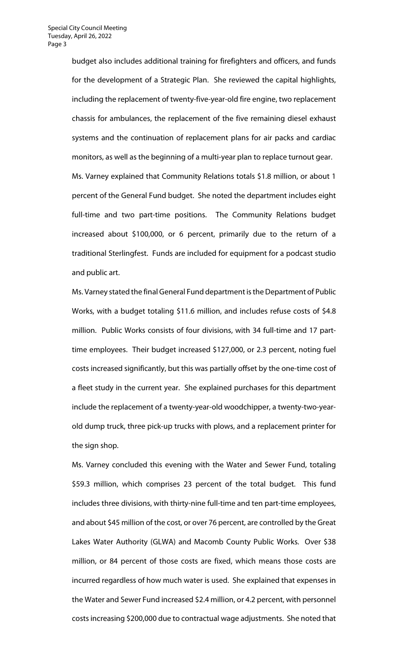budget also includes additional training for firefighters and officers, and funds for the development of a Strategic Plan. She reviewed the capital highlights, including the replacement of twenty-five-year-old fire engine, two replacement chassis for ambulances, the replacement of the five remaining diesel exhaust systems and the continuation of replacement plans for air packs and cardiac monitors, as well as the beginning of a multi-year plan to replace turnout gear. Ms. Varney explained that Community Relations totals \$1.8 million, or about 1 percent of the General Fund budget. She noted the department includes eight full-time and two part-time positions. The Community Relations budget increased about \$100,000, or 6 percent, primarily due to the return of a traditional Sterlingfest. Funds are included for equipment for a podcast studio and public art.

Ms. Varney stated the final General Fund department is the Department of Public Works, with a budget totaling \$11.6 million, and includes refuse costs of \$4.8 million. Public Works consists of four divisions, with 34 full-time and 17 parttime employees. Their budget increased \$127,000, or 2.3 percent, noting fuel costs increased significantly, but this was partially offset by the one-time cost of a fleet study in the current year. She explained purchases for this department include the replacement of a twenty-year-old woodchipper, a twenty-two-yearold dump truck, three pick-up trucks with plows, and a replacement printer for the sign shop.

Ms. Varney concluded this evening with the Water and Sewer Fund, totaling \$59.3 million, which comprises 23 percent of the total budget. This fund includes three divisions, with thirty-nine full-time and ten part-time employees, and about \$45 million of the cost, or over 76 percent, are controlled by the Great Lakes Water Authority (GLWA) and Macomb County Public Works. Over \$38 million, or 84 percent of those costs are fixed, which means those costs are incurred regardless of how much water is used. She explained that expenses in the Water and Sewer Fund increased \$2.4 million, or 4.2 percent, with personnel costs increasing \$200,000 due to contractual wage adjustments. She noted that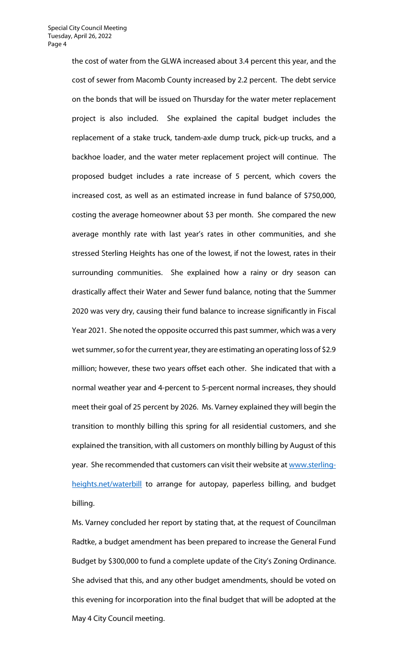the cost of water from the GLWA increased about 3.4 percent this year, and the cost of sewer from Macomb County increased by 2.2 percent. The debt service on the bonds that will be issued on Thursday for the water meter replacement project is also included. She explained the capital budget includes the replacement of a stake truck, tandem-axle dump truck, pick-up trucks, and a backhoe loader, and the water meter replacement project will continue. The proposed budget includes a rate increase of 5 percent, which covers the increased cost, as well as an estimated increase in fund balance of \$750,000, costing the average homeowner about \$3 per month. She compared the new average monthly rate with last year's rates in other communities, and she stressed Sterling Heights has one of the lowest, if not the lowest, rates in their surrounding communities. She explained how a rainy or dry season can drastically affect their Water and Sewer fund balance, noting that the Summer 2020 was very dry, causing their fund balance to increase significantly in Fiscal Year 2021. She noted the opposite occurred this past summer, which was a very wet summer, so for the current year, they are estimating an operating loss of \$2.9 million; however, these two years offset each other. She indicated that with a normal weather year and 4-percent to 5-percent normal increases, they should meet their goal of 25 percent by 2026. Ms. Varney explained they will begin the transition to monthly billing this spring for all residential customers, and she explained the transition, with all customers on monthly billing by August of this year. She recommended that customers can visit their website a[t www.sterling](http://www.sterling-heights.net/waterbill)[heights.net/waterbill](http://www.sterling-heights.net/waterbill) to arrange for autopay, paperless billing, and budget billing.

Ms. Varney concluded her report by stating that, at the request of Councilman Radtke, a budget amendment has been prepared to increase the General Fund Budget by \$300,000 to fund a complete update of the City's Zoning Ordinance. She advised that this, and any other budget amendments, should be voted on this evening for incorporation into the final budget that will be adopted at the May 4 City Council meeting.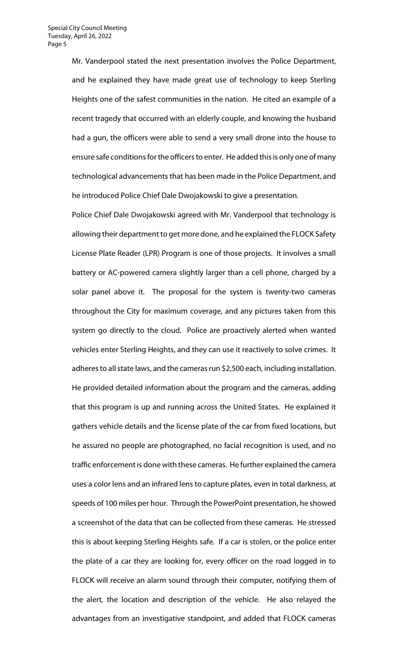Mr. Vanderpool stated the next presentation involves the Police Department, and he explained they have made great use of technology to keep Sterling Heights one of the safest communities in the nation. He cited an example of a recent tragedy that occurred with an elderly couple, and knowing the husband had a gun, the officers were able to send a very small drone into the house to ensure safe conditions for the officers to enter. He added this is only one of many technological advancements that has been made in the Police Department, and he introduced Police Chief Dale Dwojakowski to give a presentation.

Police Chief Dale Dwojakowski agreed with Mr. Vanderpool that technology is allowing their department to get more done, and he explained the FLOCK Safety License Plate Reader (LPR) Program is one of those projects. It involves a small battery or AC-powered camera slightly larger than a cell phone, charged by a solar panel above it. The proposal for the system is twenty-two cameras throughout the City for maximum coverage, and any pictures taken from this system go directly to the cloud. Police are proactively alerted when wanted vehicles enter Sterling Heights, and they can use it reactively to solve crimes. It adheres to all state laws, and the cameras run \$2,500 each, including installation. He provided detailed information about the program and the cameras, adding that this program is up and running across the United States. He explained it gathers vehicle details and the license plate of the car from fixed locations, but he assured no people are photographed, no facial recognition is used, and no traffic enforcement is done with these cameras. He further explained the camera uses a color lens and an infrared lens to capture plates, even in total darkness, at speeds of 100 miles per hour. Through the PowerPoint presentation, he showed a screenshot of the data that can be collected from these cameras. He stressed this is about keeping Sterling Heights safe. If a car is stolen, or the police enter the plate of a car they are looking for, every officer on the road logged in to FLOCK will receive an alarm sound through their computer, notifying them of the alert, the location and description of the vehicle. He also relayed the advantages from an investigative standpoint, and added that FLOCK cameras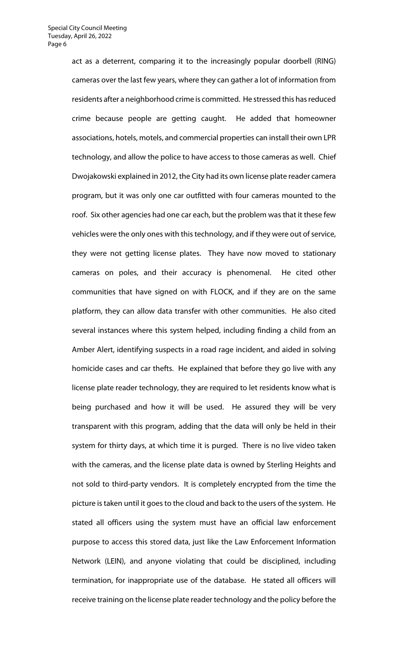act as a deterrent, comparing it to the increasingly popular doorbell (RING) cameras over the last few years, where they can gather a lot of information from residents after a neighborhood crime is committed. He stressed this has reduced crime because people are getting caught. He added that homeowner associations, hotels, motels, and commercial properties can install their own LPR technology, and allow the police to have access to those cameras as well. Chief Dwojakowski explained in 2012, the City had its own license plate reader camera program, but it was only one car outfitted with four cameras mounted to the roof. Six other agencies had one car each, but the problem was that it these few vehicles were the only ones with this technology, and if they were out of service, they were not getting license plates. They have now moved to stationary cameras on poles, and their accuracy is phenomenal. He cited other communities that have signed on with FLOCK, and if they are on the same platform, they can allow data transfer with other communities. He also cited several instances where this system helped, including finding a child from an Amber Alert, identifying suspects in a road rage incident, and aided in solving homicide cases and car thefts. He explained that before they go live with any license plate reader technology, they are required to let residents know what is being purchased and how it will be used. He assured they will be very transparent with this program, adding that the data will only be held in their system for thirty days, at which time it is purged. There is no live video taken with the cameras, and the license plate data is owned by Sterling Heights and not sold to third-party vendors. It is completely encrypted from the time the picture is taken until it goes to the cloud and back to the users of the system. He stated all officers using the system must have an official law enforcement purpose to access this stored data, just like the Law Enforcement Information Network (LEIN), and anyone violating that could be disciplined, including termination, for inappropriate use of the database. He stated all officers will receive training on the license plate reader technology and the policy before the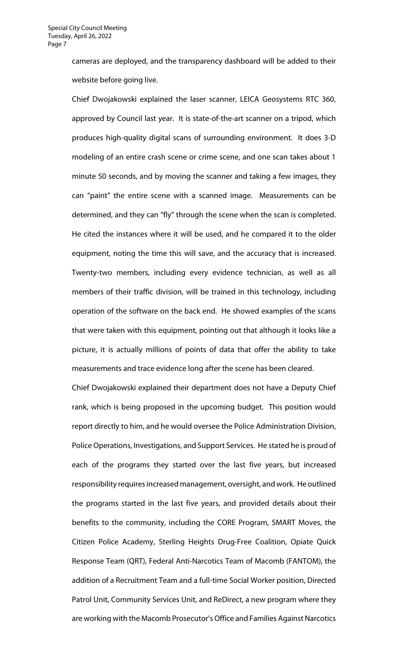cameras are deployed, and the transparency dashboard will be added to their website before going live.

Chief Dwojakowski explained the laser scanner, LEICA Geosystems RTC 360, approved by Council last year. It is state-of-the-art scanner on a tripod, which produces high-quality digital scans of surrounding environment. It does 3-D modeling of an entire crash scene or crime scene, and one scan takes about 1 minute 50 seconds, and by moving the scanner and taking a few images, they can "paint" the entire scene with a scanned image. Measurements can be determined, and they can "fly" through the scene when the scan is completed. He cited the instances where it will be used, and he compared it to the older equipment, noting the time this will save, and the accuracy that is increased. Twenty-two members, including every evidence technician, as well as all members of their traffic division, will be trained in this technology, including operation of the software on the back end. He showed examples of the scans that were taken with this equipment, pointing out that although it looks like a picture, it is actually millions of points of data that offer the ability to take measurements and trace evidence long after the scene has been cleared.

Chief Dwojakowski explained their department does not have a Deputy Chief rank, which is being proposed in the upcoming budget. This position would report directly to him, and he would oversee the Police Administration Division, Police Operations, Investigations, and Support Services. He stated he is proud of each of the programs they started over the last five years, but increased responsibility requires increased management, oversight, and work. He outlined the programs started in the last five years, and provided details about their benefits to the community, including the CORE Program, SMART Moves, the Citizen Police Academy, Sterling Heights Drug-Free Coalition, Opiate Quick Response Team (QRT), Federal Anti-Narcotics Team of Macomb (FANTOM), the addition of a Recruitment Team and a full-time Social Worker position, Directed Patrol Unit, Community Services Unit, and ReDirect, a new program where they are working with the Macomb Prosecutor's Office and Families Against Narcotics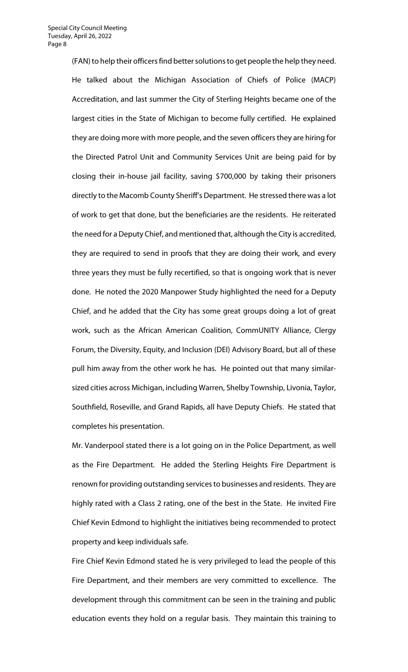(FAN) to help their officers find better solutions to get people the help they need. He talked about the Michigan Association of Chiefs of Police (MACP) Accreditation, and last summer the City of Sterling Heights became one of the largest cities in the State of Michigan to become fully certified. He explained they are doing more with more people, and the seven officers they are hiring for the Directed Patrol Unit and Community Services Unit are being paid for by closing their in-house jail facility, saving \$700,000 by taking their prisoners directly to the Macomb County Sheriff's Department. He stressed there was a lot of work to get that done, but the beneficiaries are the residents. He reiterated the need for a Deputy Chief, and mentioned that, although the City is accredited, they are required to send in proofs that they are doing their work, and every three years they must be fully recertified, so that is ongoing work that is never done. He noted the 2020 Manpower Study highlighted the need for a Deputy Chief, and he added that the City has some great groups doing a lot of great work, such as the African American Coalition, CommUNITY Alliance, Clergy Forum, the Diversity, Equity, and Inclusion (DEI) Advisory Board, but all of these pull him away from the other work he has. He pointed out that many similarsized cities across Michigan, including Warren, Shelby Township, Livonia, Taylor, Southfield, Roseville, and Grand Rapids, all have Deputy Chiefs. He stated that completes his presentation.

Mr. Vanderpool stated there is a lot going on in the Police Department, as well as the Fire Department. He added the Sterling Heights Fire Department is renown for providing outstanding services to businesses and residents. They are highly rated with a Class 2 rating, one of the best in the State. He invited Fire Chief Kevin Edmond to highlight the initiatives being recommended to protect property and keep individuals safe.

Fire Chief Kevin Edmond stated he is very privileged to lead the people of this Fire Department, and their members are very committed to excellence. The development through this commitment can be seen in the training and public education events they hold on a regular basis. They maintain this training to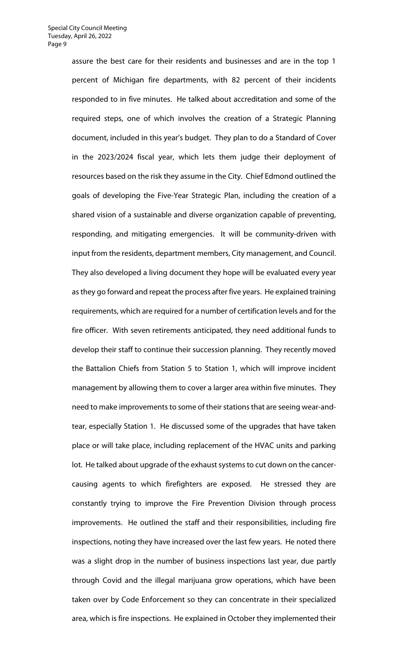assure the best care for their residents and businesses and are in the top 1 percent of Michigan fire departments, with 82 percent of their incidents responded to in five minutes. He talked about accreditation and some of the required steps, one of which involves the creation of a Strategic Planning document, included in this year's budget. They plan to do a Standard of Cover in the 2023/2024 fiscal year, which lets them judge their deployment of resources based on the risk they assume in the City. Chief Edmond outlined the goals of developing the Five-Year Strategic Plan, including the creation of a shared vision of a sustainable and diverse organization capable of preventing, responding, and mitigating emergencies. It will be community-driven with input from the residents, department members, City management, and Council. They also developed a living document they hope will be evaluated every year as they go forward and repeat the process after five years. He explained training requirements, which are required for a number of certification levels and for the fire officer. With seven retirements anticipated, they need additional funds to develop their staff to continue their succession planning. They recently moved the Battalion Chiefs from Station 5 to Station 1, which will improve incident management by allowing them to cover a larger area within five minutes. They need to make improvements to some of their stations that are seeing wear-andtear, especially Station 1. He discussed some of the upgrades that have taken place or will take place, including replacement of the HVAC units and parking lot. He talked about upgrade of the exhaust systems to cut down on the cancercausing agents to which firefighters are exposed. He stressed they are constantly trying to improve the Fire Prevention Division through process improvements. He outlined the staff and their responsibilities, including fire inspections, noting they have increased over the last few years. He noted there was a slight drop in the number of business inspections last year, due partly through Covid and the illegal marijuana grow operations, which have been taken over by Code Enforcement so they can concentrate in their specialized area, which is fire inspections. He explained in October they implemented their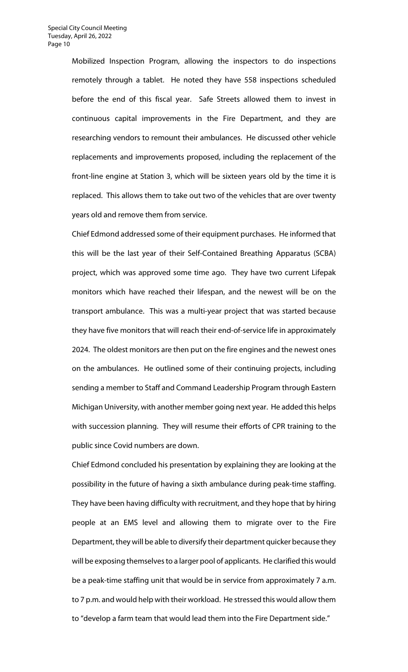Mobilized Inspection Program, allowing the inspectors to do inspections remotely through a tablet. He noted they have 558 inspections scheduled before the end of this fiscal year. Safe Streets allowed them to invest in continuous capital improvements in the Fire Department, and they are researching vendors to remount their ambulances. He discussed other vehicle replacements and improvements proposed, including the replacement of the front-line engine at Station 3, which will be sixteen years old by the time it is replaced. This allows them to take out two of the vehicles that are over twenty years old and remove them from service.

Chief Edmond addressed some of their equipment purchases. He informed that this will be the last year of their Self-Contained Breathing Apparatus (SCBA) project, which was approved some time ago. They have two current Lifepak monitors which have reached their lifespan, and the newest will be on the transport ambulance. This was a multi-year project that was started because they have five monitors that will reach their end-of-service life in approximately 2024. The oldest monitors are then put on the fire engines and the newest ones on the ambulances. He outlined some of their continuing projects, including sending a member to Staff and Command Leadership Program through Eastern Michigan University, with another member going next year. He added this helps with succession planning. They will resume their efforts of CPR training to the public since Covid numbers are down.

Chief Edmond concluded his presentation by explaining they are looking at the possibility in the future of having a sixth ambulance during peak-time staffing. They have been having difficulty with recruitment, and they hope that by hiring people at an EMS level and allowing them to migrate over to the Fire Department, they will be able to diversify their department quicker because they will be exposing themselves to a larger pool of applicants. He clarified this would be a peak-time staffing unit that would be in service from approximately 7 a.m. to 7 p.m. and would help with their workload. He stressed this would allow them to "develop a farm team that would lead them into the Fire Department side."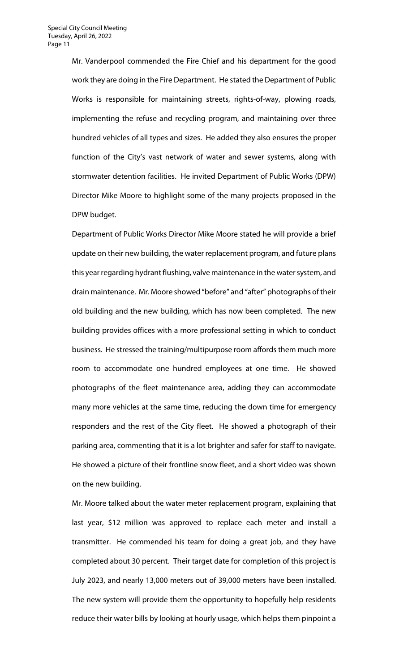Mr. Vanderpool commended the Fire Chief and his department for the good work they are doing in the Fire Department. He stated the Department of Public Works is responsible for maintaining streets, rights-of-way, plowing roads, implementing the refuse and recycling program, and maintaining over three hundred vehicles of all types and sizes. He added they also ensures the proper function of the City's vast network of water and sewer systems, along with stormwater detention facilities. He invited Department of Public Works (DPW) Director Mike Moore to highlight some of the many projects proposed in the DPW budget.

Department of Public Works Director Mike Moore stated he will provide a brief update on their new building, the water replacement program, and future plans this year regarding hydrant flushing, valve maintenance in the water system, and drain maintenance. Mr. Moore showed "before" and "after" photographs of their old building and the new building, which has now been completed. The new building provides offices with a more professional setting in which to conduct business. He stressed the training/multipurpose room affords them much more room to accommodate one hundred employees at one time. He showed photographs of the fleet maintenance area, adding they can accommodate many more vehicles at the same time, reducing the down time for emergency responders and the rest of the City fleet. He showed a photograph of their parking area, commenting that it is a lot brighter and safer for staff to navigate. He showed a picture of their frontline snow fleet, and a short video was shown on the new building.

Mr. Moore talked about the water meter replacement program, explaining that last year, \$12 million was approved to replace each meter and install a transmitter. He commended his team for doing a great job, and they have completed about 30 percent. Their target date for completion of this project is July 2023, and nearly 13,000 meters out of 39,000 meters have been installed. The new system will provide them the opportunity to hopefully help residents reduce their water bills by looking at hourly usage, which helps them pinpoint a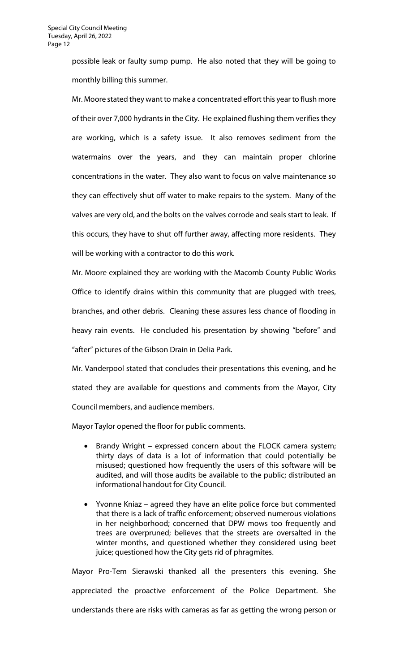possible leak or faulty sump pump. He also noted that they will be going to monthly billing this summer.

Mr. Moore stated they want to make a concentrated effort this year to flush more of their over 7,000 hydrants in the City. He explained flushing them verifies they are working, which is a safety issue. It also removes sediment from the watermains over the years, and they can maintain proper chlorine concentrations in the water. They also want to focus on valve maintenance so they can effectively shut off water to make repairs to the system. Many of the valves are very old, and the bolts on the valves corrode and seals start to leak. If this occurs, they have to shut off further away, affecting more residents. They will be working with a contractor to do this work.

Mr. Moore explained they are working with the Macomb County Public Works Office to identify drains within this community that are plugged with trees, branches, and other debris. Cleaning these assures less chance of flooding in heavy rain events. He concluded his presentation by showing "before" and "after" pictures of the Gibson Drain in Delia Park.

Mr. Vanderpool stated that concludes their presentations this evening, and he stated they are available for questions and comments from the Mayor, City Council members, and audience members.

Mayor Taylor opened the floor for public comments.

- Brandy Wright expressed concern about the FLOCK camera system; thirty days of data is a lot of information that could potentially be misused; questioned how frequently the users of this software will be audited, and will those audits be available to the public; distributed an informational handout for City Council.
- Yvonne Kniaz agreed they have an elite police force but commented that there is a lack of traffic enforcement; observed numerous violations in her neighborhood; concerned that DPW mows too frequently and trees are overpruned; believes that the streets are oversalted in the winter months, and questioned whether they considered using beet juice; questioned how the City gets rid of phragmites.

Mayor Pro-Tem Sierawski thanked all the presenters this evening. She appreciated the proactive enforcement of the Police Department. She understands there are risks with cameras as far as getting the wrong person or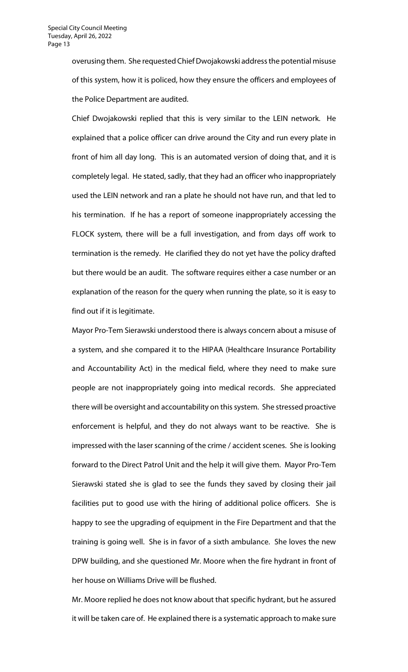overusing them. She requested Chief Dwojakowski address the potential misuse of this system, how it is policed, how they ensure the officers and employees of the Police Department are audited.

Chief Dwojakowski replied that this is very similar to the LEIN network. He explained that a police officer can drive around the City and run every plate in front of him all day long. This is an automated version of doing that, and it is completely legal. He stated, sadly, that they had an officer who inappropriately used the LEIN network and ran a plate he should not have run, and that led to his termination. If he has a report of someone inappropriately accessing the FLOCK system, there will be a full investigation, and from days off work to termination is the remedy. He clarified they do not yet have the policy drafted but there would be an audit. The software requires either a case number or an explanation of the reason for the query when running the plate, so it is easy to find out if it is legitimate.

Mayor Pro-Tem Sierawski understood there is always concern about a misuse of a system, and she compared it to the HIPAA (Healthcare Insurance Portability and Accountability Act) in the medical field, where they need to make sure people are not inappropriately going into medical records. She appreciated there will be oversight and accountability on this system. She stressed proactive enforcement is helpful, and they do not always want to be reactive. She is impressed with the laser scanning of the crime / accident scenes. She is looking forward to the Direct Patrol Unit and the help it will give them. Mayor Pro-Tem Sierawski stated she is glad to see the funds they saved by closing their jail facilities put to good use with the hiring of additional police officers. She is happy to see the upgrading of equipment in the Fire Department and that the training is going well. She is in favor of a sixth ambulance. She loves the new DPW building, and she questioned Mr. Moore when the fire hydrant in front of her house on Williams Drive will be flushed.

Mr. Moore replied he does not know about that specific hydrant, but he assured it will be taken care of. He explained there is a systematic approach to make sure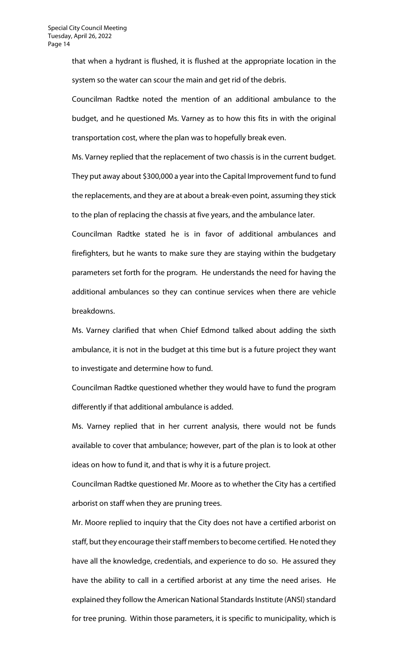that when a hydrant is flushed, it is flushed at the appropriate location in the system so the water can scour the main and get rid of the debris.

Councilman Radtke noted the mention of an additional ambulance to the budget, and he questioned Ms. Varney as to how this fits in with the original transportation cost, where the plan was to hopefully break even.

Ms. Varney replied that the replacement of two chassis is in the current budget. They put away about \$300,000 a year into the Capital Improvement fund to fund the replacements, and they are at about a break-even point, assuming they stick to the plan of replacing the chassis at five years, and the ambulance later.

Councilman Radtke stated he is in favor of additional ambulances and firefighters, but he wants to make sure they are staying within the budgetary parameters set forth for the program. He understands the need for having the additional ambulances so they can continue services when there are vehicle breakdowns.

Ms. Varney clarified that when Chief Edmond talked about adding the sixth ambulance, it is not in the budget at this time but is a future project they want to investigate and determine how to fund.

Councilman Radtke questioned whether they would have to fund the program differently if that additional ambulance is added.

Ms. Varney replied that in her current analysis, there would not be funds available to cover that ambulance; however, part of the plan is to look at other ideas on how to fund it, and that is why it is a future project.

Councilman Radtke questioned Mr. Moore as to whether the City has a certified arborist on staff when they are pruning trees.

Mr. Moore replied to inquiry that the City does not have a certified arborist on staff, but they encourage their staff members to become certified. He noted they have all the knowledge, credentials, and experience to do so. He assured they have the ability to call in a certified arborist at any time the need arises. He explained they follow the American National Standards Institute (ANSI) standard for tree pruning. Within those parameters, it is specific to municipality, which is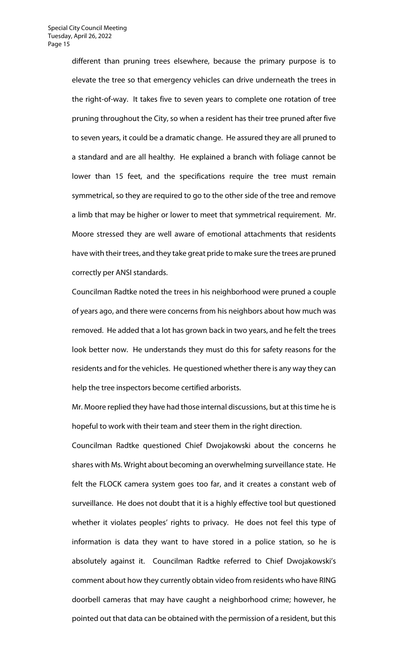different than pruning trees elsewhere, because the primary purpose is to elevate the tree so that emergency vehicles can drive underneath the trees in the right-of-way. It takes five to seven years to complete one rotation of tree pruning throughout the City, so when a resident has their tree pruned after five to seven years, it could be a dramatic change. He assured they are all pruned to a standard and are all healthy. He explained a branch with foliage cannot be lower than 15 feet, and the specifications require the tree must remain symmetrical, so they are required to go to the other side of the tree and remove a limb that may be higher or lower to meet that symmetrical requirement. Mr. Moore stressed they are well aware of emotional attachments that residents have with their trees, and they take great pride to make sure the trees are pruned correctly per ANSI standards.

Councilman Radtke noted the trees in his neighborhood were pruned a couple of years ago, and there were concerns from his neighbors about how much was removed. He added that a lot has grown back in two years, and he felt the trees look better now. He understands they must do this for safety reasons for the residents and for the vehicles. He questioned whether there is any way they can help the tree inspectors become certified arborists.

Mr. Moore replied they have had those internal discussions, but at this time he is hopeful to work with their team and steer them in the right direction.

Councilman Radtke questioned Chief Dwojakowski about the concerns he shares with Ms. Wright about becoming an overwhelming surveillance state. He felt the FLOCK camera system goes too far, and it creates a constant web of surveillance. He does not doubt that it is a highly effective tool but questioned whether it violates peoples' rights to privacy. He does not feel this type of information is data they want to have stored in a police station, so he is absolutely against it. Councilman Radtke referred to Chief Dwojakowski's comment about how they currently obtain video from residents who have RING doorbell cameras that may have caught a neighborhood crime; however, he pointed out that data can be obtained with the permission of a resident, but this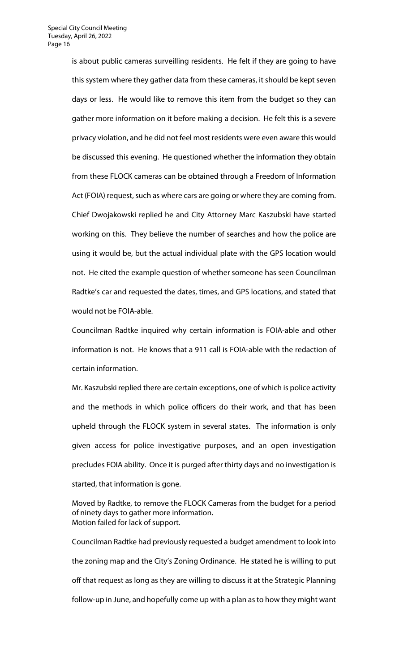is about public cameras surveilling residents. He felt if they are going to have this system where they gather data from these cameras, it should be kept seven days or less. He would like to remove this item from the budget so they can gather more information on it before making a decision. He felt this is a severe privacy violation, and he did not feel most residents were even aware this would be discussed this evening. He questioned whether the information they obtain from these FLOCK cameras can be obtained through a Freedom of Information Act (FOIA) request, such as where cars are going or where they are coming from. Chief Dwojakowski replied he and City Attorney Marc Kaszubski have started working on this. They believe the number of searches and how the police are using it would be, but the actual individual plate with the GPS location would not. He cited the example question of whether someone has seen Councilman Radtke's car and requested the dates, times, and GPS locations, and stated that would not be FOIA-able.

Councilman Radtke inquired why certain information is FOIA-able and other information is not. He knows that a 911 call is FOIA-able with the redaction of certain information.

Mr. Kaszubski replied there are certain exceptions, one of which is police activity and the methods in which police officers do their work, and that has been upheld through the FLOCK system in several states. The information is only given access for police investigative purposes, and an open investigation precludes FOIA ability. Once it is purged after thirty days and no investigation is started, that information is gone.

Moved by Radtke, to remove the FLOCK Cameras from the budget for a period of ninety days to gather more information. Motion failed for lack of support.

Councilman Radtke had previously requested a budget amendment to look into the zoning map and the City's Zoning Ordinance. He stated he is willing to put off that request as long as they are willing to discuss it at the Strategic Planning follow-up in June, and hopefully come up with a plan as to how they might want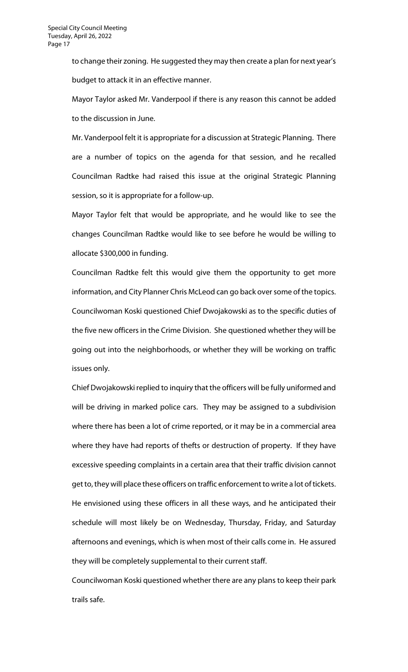to change their zoning. He suggested they may then create a plan for next year's budget to attack it in an effective manner.

Mayor Taylor asked Mr. Vanderpool if there is any reason this cannot be added to the discussion in June.

Mr. Vanderpool felt it is appropriate for a discussion at Strategic Planning. There are a number of topics on the agenda for that session, and he recalled Councilman Radtke had raised this issue at the original Strategic Planning session, so it is appropriate for a follow-up.

Mayor Taylor felt that would be appropriate, and he would like to see the changes Councilman Radtke would like to see before he would be willing to allocate \$300,000 in funding.

Councilman Radtke felt this would give them the opportunity to get more information, and City Planner Chris McLeod can go back over some of the topics. Councilwoman Koski questioned Chief Dwojakowski as to the specific duties of the five new officers in the Crime Division. She questioned whether they will be going out into the neighborhoods, or whether they will be working on traffic issues only.

Chief Dwojakowski replied to inquiry that the officers will be fully uniformed and will be driving in marked police cars. They may be assigned to a subdivision where there has been a lot of crime reported, or it may be in a commercial area where they have had reports of thefts or destruction of property. If they have excessive speeding complaints in a certain area that their traffic division cannot get to, they will place these officers on traffic enforcement to write a lot of tickets. He envisioned using these officers in all these ways, and he anticipated their schedule will most likely be on Wednesday, Thursday, Friday, and Saturday afternoons and evenings, which is when most of their calls come in. He assured they will be completely supplemental to their current staff.

Councilwoman Koski questioned whether there are any plans to keep their park trails safe.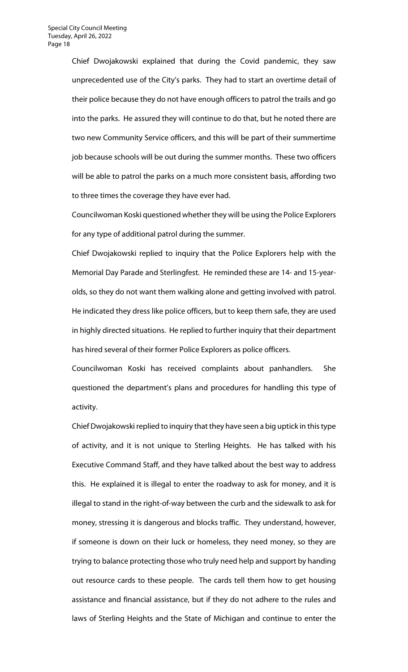Chief Dwojakowski explained that during the Covid pandemic, they saw unprecedented use of the City's parks. They had to start an overtime detail of their police because they do not have enough officers to patrol the trails and go into the parks. He assured they will continue to do that, but he noted there are two new Community Service officers, and this will be part of their summertime job because schools will be out during the summer months. These two officers will be able to patrol the parks on a much more consistent basis, affording two to three times the coverage they have ever had.

Councilwoman Koski questioned whether they will be using the Police Explorers for any type of additional patrol during the summer.

Chief Dwojakowski replied to inquiry that the Police Explorers help with the Memorial Day Parade and Sterlingfest. He reminded these are 14- and 15-yearolds, so they do not want them walking alone and getting involved with patrol. He indicated they dress like police officers, but to keep them safe, they are used in highly directed situations. He replied to further inquiry that their department has hired several of their former Police Explorers as police officers.

Councilwoman Koski has received complaints about panhandlers. She questioned the department's plans and procedures for handling this type of activity.

Chief Dwojakowski replied to inquiry that they have seen a big uptick in this type of activity, and it is not unique to Sterling Heights. He has talked with his Executive Command Staff, and they have talked about the best way to address this. He explained it is illegal to enter the roadway to ask for money, and it is illegal to stand in the right-of-way between the curb and the sidewalk to ask for money, stressing it is dangerous and blocks traffic. They understand, however, if someone is down on their luck or homeless, they need money, so they are trying to balance protecting those who truly need help and support by handing out resource cards to these people. The cards tell them how to get housing assistance and financial assistance, but if they do not adhere to the rules and laws of Sterling Heights and the State of Michigan and continue to enter the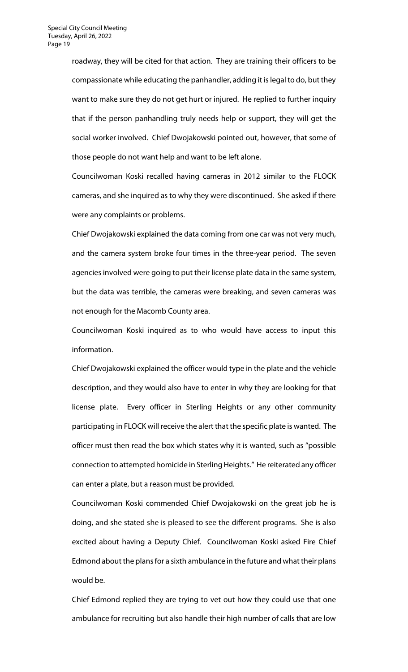roadway, they will be cited for that action. They are training their officers to be compassionate while educating the panhandler, adding it is legal to do, but they want to make sure they do not get hurt or injured. He replied to further inquiry that if the person panhandling truly needs help or support, they will get the social worker involved. Chief Dwojakowski pointed out, however, that some of those people do not want help and want to be left alone.

Councilwoman Koski recalled having cameras in 2012 similar to the FLOCK cameras, and she inquired as to why they were discontinued. She asked if there were any complaints or problems.

Chief Dwojakowski explained the data coming from one car was not very much, and the camera system broke four times in the three-year period. The seven agencies involved were going to put their license plate data in the same system, but the data was terrible, the cameras were breaking, and seven cameras was not enough for the Macomb County area.

Councilwoman Koski inquired as to who would have access to input this information.

Chief Dwojakowski explained the officer would type in the plate and the vehicle description, and they would also have to enter in why they are looking for that license plate. Every officer in Sterling Heights or any other community participating in FLOCK will receive the alert that the specific plate is wanted. The officer must then read the box which states why it is wanted, such as "possible connection to attempted homicide in Sterling Heights." He reiterated any officer can enter a plate, but a reason must be provided.

Councilwoman Koski commended Chief Dwojakowski on the great job he is doing, and she stated she is pleased to see the different programs. She is also excited about having a Deputy Chief. Councilwoman Koski asked Fire Chief Edmond about the plans for a sixth ambulance in the future and what their plans would be.

Chief Edmond replied they are trying to vet out how they could use that one ambulance for recruiting but also handle their high number of calls that are low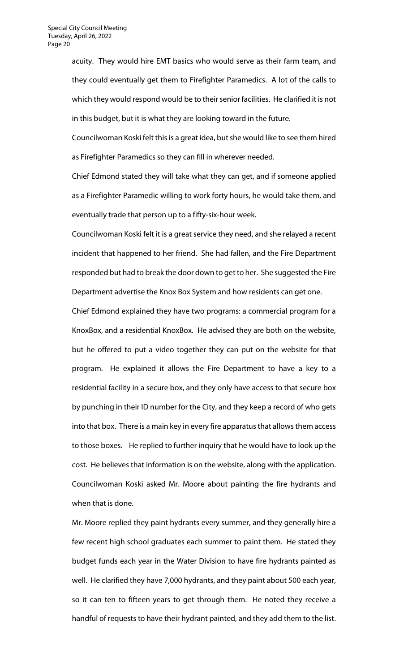acuity. They would hire EMT basics who would serve as their farm team, and they could eventually get them to Firefighter Paramedics. A lot of the calls to which they would respond would be to their senior facilities. He clarified it is not in this budget, but it is what they are looking toward in the future.

Councilwoman Koski felt this is a great idea, but she would like to see them hired as Firefighter Paramedics so they can fill in wherever needed.

Chief Edmond stated they will take what they can get, and if someone applied as a Firefighter Paramedic willing to work forty hours, he would take them, and eventually trade that person up to a fifty-six-hour week.

Councilwoman Koski felt it is a great service they need, and she relayed a recent incident that happened to her friend. She had fallen, and the Fire Department responded but had to break the door down to get to her. She suggested the Fire Department advertise the Knox Box System and how residents can get one.

Chief Edmond explained they have two programs: a commercial program for a KnoxBox, and a residential KnoxBox. He advised they are both on the website, but he offered to put a video together they can put on the website for that program. He explained it allows the Fire Department to have a key to a residential facility in a secure box, and they only have access to that secure box by punching in their ID number for the City, and they keep a record of who gets into that box. There is a main key in every fire apparatus that allows them access to those boxes. He replied to further inquiry that he would have to look up the cost. He believes that information is on the website, along with the application. Councilwoman Koski asked Mr. Moore about painting the fire hydrants and when that is done.

Mr. Moore replied they paint hydrants every summer, and they generally hire a few recent high school graduates each summer to paint them. He stated they budget funds each year in the Water Division to have fire hydrants painted as well. He clarified they have 7,000 hydrants, and they paint about 500 each year, so it can ten to fifteen years to get through them. He noted they receive a handful of requests to have their hydrant painted, and they add them to the list.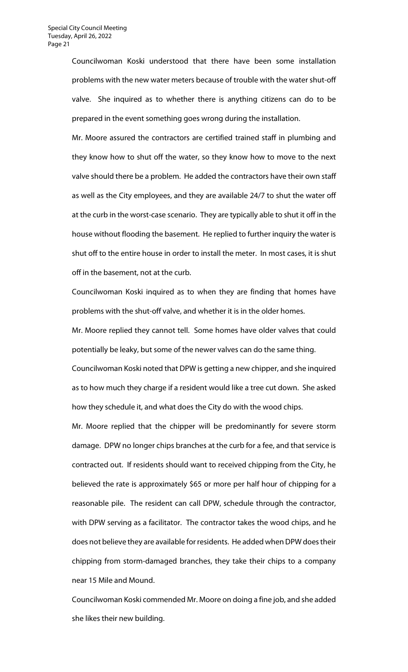Councilwoman Koski understood that there have been some installation problems with the new water meters because of trouble with the water shut-off valve. She inquired as to whether there is anything citizens can do to be prepared in the event something goes wrong during the installation.

Mr. Moore assured the contractors are certified trained staff in plumbing and they know how to shut off the water, so they know how to move to the next valve should there be a problem. He added the contractors have their own staff as well as the City employees, and they are available 24/7 to shut the water off at the curb in the worst-case scenario. They are typically able to shut it off in the house without flooding the basement. He replied to further inquiry the water is shut off to the entire house in order to install the meter. In most cases, it is shut off in the basement, not at the curb.

Councilwoman Koski inquired as to when they are finding that homes have problems with the shut-off valve, and whether it is in the older homes.

Mr. Moore replied they cannot tell. Some homes have older valves that could potentially be leaky, but some of the newer valves can do the same thing.

Councilwoman Koski noted that DPW is getting a new chipper, and she inquired as to how much they charge if a resident would like a tree cut down. She asked how they schedule it, and what does the City do with the wood chips.

Mr. Moore replied that the chipper will be predominantly for severe storm damage. DPW no longer chips branches at the curb for a fee, and that service is contracted out. If residents should want to received chipping from the City, he believed the rate is approximately \$65 or more per half hour of chipping for a reasonable pile. The resident can call DPW, schedule through the contractor, with DPW serving as a facilitator. The contractor takes the wood chips, and he does not believe they are available for residents. He added when DPW does their chipping from storm-damaged branches, they take their chips to a company near 15 Mile and Mound.

Councilwoman Koski commended Mr. Moore on doing a fine job, and she added she likes their new building.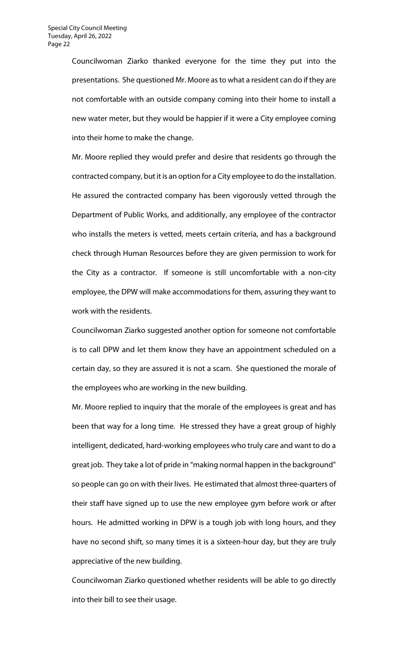Councilwoman Ziarko thanked everyone for the time they put into the presentations. She questioned Mr. Moore as to what a resident can do if they are not comfortable with an outside company coming into their home to install a new water meter, but they would be happier if it were a City employee coming into their home to make the change.

Mr. Moore replied they would prefer and desire that residents go through the contracted company, but it is an option for a City employee to do the installation. He assured the contracted company has been vigorously vetted through the Department of Public Works, and additionally, any employee of the contractor who installs the meters is vetted, meets certain criteria, and has a background check through Human Resources before they are given permission to work for the City as a contractor. If someone is still uncomfortable with a non-city employee, the DPW will make accommodations for them, assuring they want to work with the residents.

Councilwoman Ziarko suggested another option for someone not comfortable is to call DPW and let them know they have an appointment scheduled on a certain day, so they are assured it is not a scam. She questioned the morale of the employees who are working in the new building.

Mr. Moore replied to inquiry that the morale of the employees is great and has been that way for a long time. He stressed they have a great group of highly intelligent, dedicated, hard-working employees who truly care and want to do a great job. They take a lot of pride in "making normal happen in the background" so people can go on with their lives. He estimated that almost three-quarters of their staff have signed up to use the new employee gym before work or after hours. He admitted working in DPW is a tough job with long hours, and they have no second shift, so many times it is a sixteen-hour day, but they are truly appreciative of the new building.

Councilwoman Ziarko questioned whether residents will be able to go directly into their bill to see their usage.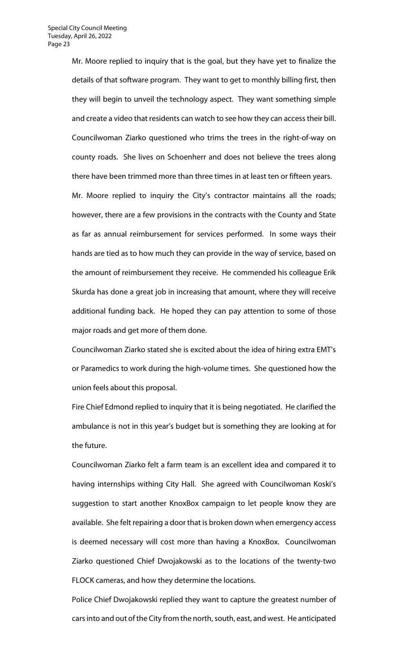Mr. Moore replied to inquiry that is the goal, but they have yet to finalize the details of that software program. They want to get to monthly billing first, then they will begin to unveil the technology aspect. They want something simple and create a video that residents can watch to see how they can access their bill. Councilwoman Ziarko questioned who trims the trees in the right-of-way on county roads. She lives on Schoenherr and does not believe the trees along there have been trimmed more than three times in at least ten or fifteen years. Mr. Moore replied to inquiry the City's contractor maintains all the roads; however, there are a few provisions in the contracts with the County and State as far as annual reimbursement for services performed. In some ways their hands are tied as to how much they can provide in the way of service, based on the amount of reimbursement they receive. He commended his colleague Erik Skurda has done a great job in increasing that amount, where they will receive

additional funding back. He hoped they can pay attention to some of those major roads and get more of them done.

Councilwoman Ziarko stated she is excited about the idea of hiring extra EMT's or Paramedics to work during the high-volume times. She questioned how the union feels about this proposal.

Fire Chief Edmond replied to inquiry that it is being negotiated. He clarified the ambulance is not in this year's budget but is something they are looking at for the future.

Councilwoman Ziarko felt a farm team is an excellent idea and compared it to having internships withing City Hall. She agreed with Councilwoman Koski's suggestion to start another KnoxBox campaign to let people know they are available. She felt repairing a door that is broken down when emergency access is deemed necessary will cost more than having a KnoxBox. Councilwoman Ziarko questioned Chief Dwojakowski as to the locations of the twenty-two FLOCK cameras, and how they determine the locations.

Police Chief Dwojakowski replied they want to capture the greatest number of cars into and out of the City from the north, south, east, and west. He anticipated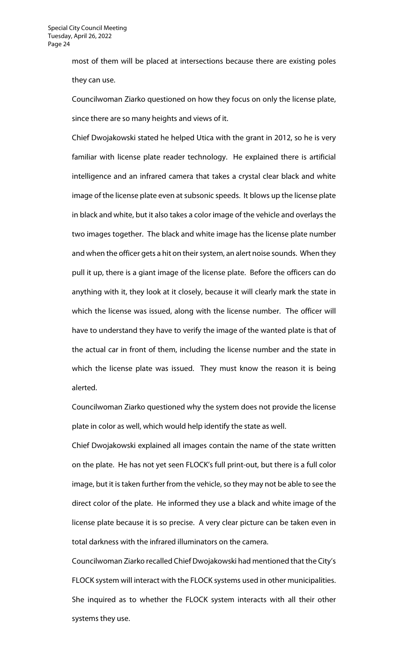most of them will be placed at intersections because there are existing poles they can use.

Councilwoman Ziarko questioned on how they focus on only the license plate, since there are so many heights and views of it.

Chief Dwojakowski stated he helped Utica with the grant in 2012, so he is very familiar with license plate reader technology. He explained there is artificial intelligence and an infrared camera that takes a crystal clear black and white image of the license plate even at subsonic speeds. It blows up the license plate in black and white, but it also takes a color image of the vehicle and overlays the two images together. The black and white image has the license plate number and when the officer gets a hit on their system, an alert noise sounds. When they pull it up, there is a giant image of the license plate. Before the officers can do anything with it, they look at it closely, because it will clearly mark the state in which the license was issued, along with the license number. The officer will have to understand they have to verify the image of the wanted plate is that of the actual car in front of them, including the license number and the state in which the license plate was issued. They must know the reason it is being alerted.

Councilwoman Ziarko questioned why the system does not provide the license plate in color as well, which would help identify the state as well.

Chief Dwojakowski explained all images contain the name of the state written on the plate. He has not yet seen FLOCK's full print-out, but there is a full color image, but it is taken further from the vehicle, so they may not be able to see the direct color of the plate. He informed they use a black and white image of the license plate because it is so precise. A very clear picture can be taken even in total darkness with the infrared illuminators on the camera.

Councilwoman Ziarko recalled Chief Dwojakowski had mentioned that the City's FLOCK system will interact with the FLOCK systems used in other municipalities. She inquired as to whether the FLOCK system interacts with all their other systems they use.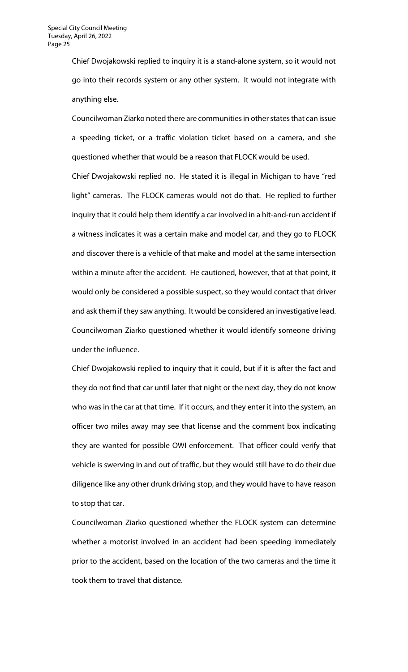Chief Dwojakowski replied to inquiry it is a stand-alone system, so it would not go into their records system or any other system. It would not integrate with anything else.

Councilwoman Ziarko noted there are communities in other states that can issue a speeding ticket, or a traffic violation ticket based on a camera, and she questioned whether that would be a reason that FLOCK would be used.

Chief Dwojakowski replied no. He stated it is illegal in Michigan to have "red light" cameras. The FLOCK cameras would not do that. He replied to further inquiry that it could help them identify a car involved in a hit-and-run accident if a witness indicates it was a certain make and model car, and they go to FLOCK and discover there is a vehicle of that make and model at the same intersection within a minute after the accident. He cautioned, however, that at that point, it would only be considered a possible suspect, so they would contact that driver and ask them if they saw anything. It would be considered an investigative lead. Councilwoman Ziarko questioned whether it would identify someone driving under the influence.

Chief Dwojakowski replied to inquiry that it could, but if it is after the fact and they do not find that car until later that night or the next day, they do not know who was in the car at that time. If it occurs, and they enter it into the system, an officer two miles away may see that license and the comment box indicating they are wanted for possible OWI enforcement. That officer could verify that vehicle is swerving in and out of traffic, but they would still have to do their due diligence like any other drunk driving stop, and they would have to have reason to stop that car.

Councilwoman Ziarko questioned whether the FLOCK system can determine whether a motorist involved in an accident had been speeding immediately prior to the accident, based on the location of the two cameras and the time it took them to travel that distance.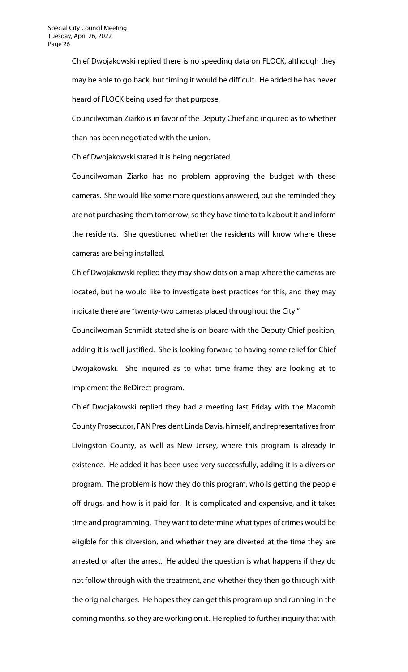Chief Dwojakowski replied there is no speeding data on FLOCK, although they may be able to go back, but timing it would be difficult. He added he has never heard of FLOCK being used for that purpose.

Councilwoman Ziarko is in favor of the Deputy Chief and inquired as to whether than has been negotiated with the union.

Chief Dwojakowski stated it is being negotiated.

Councilwoman Ziarko has no problem approving the budget with these cameras. She would like some more questions answered, but she reminded they are not purchasing them tomorrow, so they have time to talk about it and inform the residents. She questioned whether the residents will know where these cameras are being installed.

Chief Dwojakowski replied they may show dots on a map where the cameras are located, but he would like to investigate best practices for this, and they may indicate there are "twenty-two cameras placed throughout the City."

Councilwoman Schmidt stated she is on board with the Deputy Chief position, adding it is well justified. She is looking forward to having some relief for Chief Dwojakowski. She inquired as to what time frame they are looking at to implement the ReDirect program.

Chief Dwojakowski replied they had a meeting last Friday with the Macomb County Prosecutor, FAN President Linda Davis, himself, and representatives from Livingston County, as well as New Jersey, where this program is already in existence. He added it has been used very successfully, adding it is a diversion program. The problem is how they do this program, who is getting the people off drugs, and how is it paid for. It is complicated and expensive, and it takes time and programming. They want to determine what types of crimes would be eligible for this diversion, and whether they are diverted at the time they are arrested or after the arrest. He added the question is what happens if they do not follow through with the treatment, and whether they then go through with the original charges. He hopes they can get this program up and running in the coming months, so they are working on it. He replied to further inquiry that with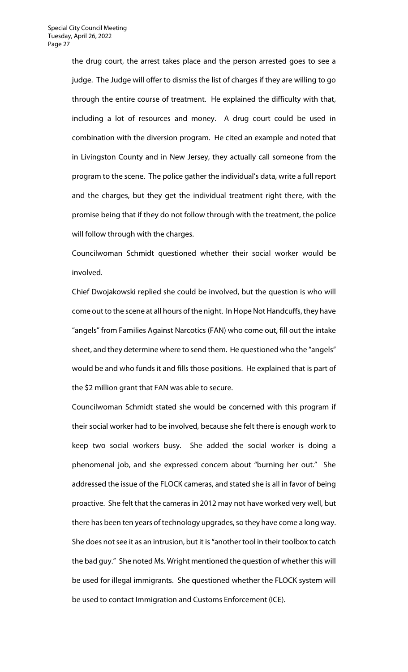the drug court, the arrest takes place and the person arrested goes to see a judge. The Judge will offer to dismiss the list of charges if they are willing to go through the entire course of treatment. He explained the difficulty with that, including a lot of resources and money. A drug court could be used in combination with the diversion program. He cited an example and noted that in Livingston County and in New Jersey, they actually call someone from the program to the scene. The police gather the individual's data, write a full report and the charges, but they get the individual treatment right there, with the promise being that if they do not follow through with the treatment, the police will follow through with the charges.

Councilwoman Schmidt questioned whether their social worker would be involved.

Chief Dwojakowski replied she could be involved, but the question is who will come out to the scene at all hours of the night. In Hope Not Handcuffs, they have "angels" from Families Against Narcotics (FAN) who come out, fill out the intake sheet, and they determine where to send them. He questioned who the "angels" would be and who funds it and fills those positions. He explained that is part of the \$2 million grant that FAN was able to secure.

Councilwoman Schmidt stated she would be concerned with this program if their social worker had to be involved, because she felt there is enough work to keep two social workers busy. She added the social worker is doing a phenomenal job, and she expressed concern about "burning her out." She addressed the issue of the FLOCK cameras, and stated she is all in favor of being proactive. She felt that the cameras in 2012 may not have worked very well, but there has been ten years of technology upgrades, so they have come a long way. She does not see it as an intrusion, but it is "another tool in their toolbox to catch the bad guy." She noted Ms. Wright mentioned the question of whether this will be used for illegal immigrants. She questioned whether the FLOCK system will be used to contact Immigration and Customs Enforcement (ICE).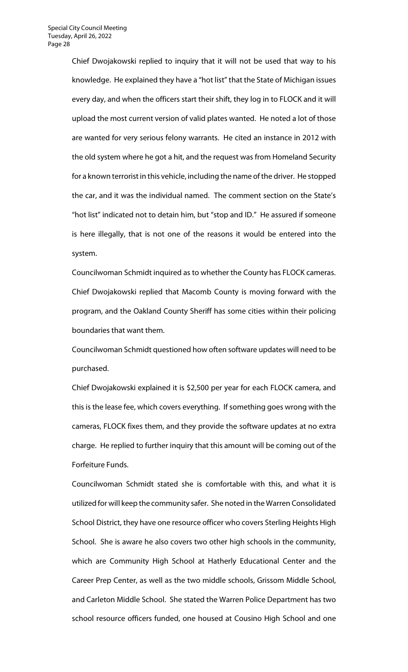Chief Dwojakowski replied to inquiry that it will not be used that way to his knowledge. He explained they have a "hot list" that the State of Michigan issues every day, and when the officers start their shift, they log in to FLOCK and it will upload the most current version of valid plates wanted. He noted a lot of those are wanted for very serious felony warrants. He cited an instance in 2012 with the old system where he got a hit, and the request was from Homeland Security for a known terrorist in this vehicle, including the name of the driver. He stopped the car, and it was the individual named. The comment section on the State's "hot list" indicated not to detain him, but "stop and ID." He assured if someone is here illegally, that is not one of the reasons it would be entered into the system.

Councilwoman Schmidt inquired as to whether the County has FLOCK cameras. Chief Dwojakowski replied that Macomb County is moving forward with the program, and the Oakland County Sheriff has some cities within their policing boundaries that want them.

Councilwoman Schmidt questioned how often software updates will need to be purchased.

Chief Dwojakowski explained it is \$2,500 per year for each FLOCK camera, and this is the lease fee, which covers everything. If something goes wrong with the cameras, FLOCK fixes them, and they provide the software updates at no extra charge. He replied to further inquiry that this amount will be coming out of the Forfeiture Funds.

Councilwoman Schmidt stated she is comfortable with this, and what it is utilized for will keep the community safer. She noted in the Warren Consolidated School District, they have one resource officer who covers Sterling Heights High School. She is aware he also covers two other high schools in the community, which are Community High School at Hatherly Educational Center and the Career Prep Center, as well as the two middle schools, Grissom Middle School, and Carleton Middle School. She stated the Warren Police Department has two school resource officers funded, one housed at Cousino High School and one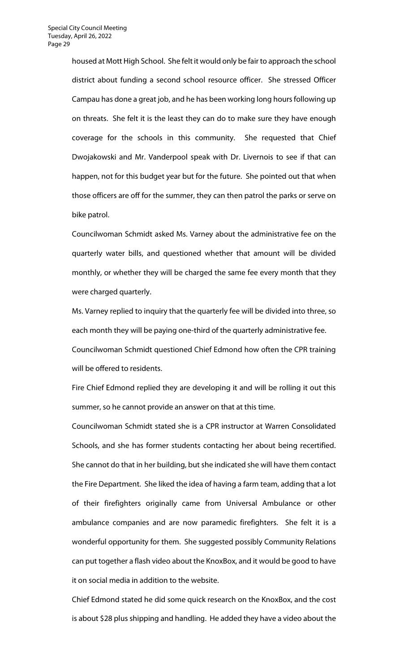housed at Mott High School. She felt it would only be fair to approach the school district about funding a second school resource officer. She stressed Officer Campau has done a great job, and he has been working long hours following up on threats. She felt it is the least they can do to make sure they have enough coverage for the schools in this community. She requested that Chief Dwojakowski and Mr. Vanderpool speak with Dr. Livernois to see if that can happen, not for this budget year but for the future. She pointed out that when those officers are off for the summer, they can then patrol the parks or serve on bike patrol.

Councilwoman Schmidt asked Ms. Varney about the administrative fee on the quarterly water bills, and questioned whether that amount will be divided monthly, or whether they will be charged the same fee every month that they were charged quarterly.

Ms. Varney replied to inquiry that the quarterly fee will be divided into three, so each month they will be paying one-third of the quarterly administrative fee. Councilwoman Schmidt questioned Chief Edmond how often the CPR training will be offered to residents.

Fire Chief Edmond replied they are developing it and will be rolling it out this summer, so he cannot provide an answer on that at this time.

Councilwoman Schmidt stated she is a CPR instructor at Warren Consolidated Schools, and she has former students contacting her about being recertified. She cannot do that in her building, but she indicated she will have them contact the Fire Department. She liked the idea of having a farm team, adding that a lot of their firefighters originally came from Universal Ambulance or other ambulance companies and are now paramedic firefighters. She felt it is a wonderful opportunity for them. She suggested possibly Community Relations can put together a flash video about the KnoxBox, and it would be good to have it on social media in addition to the website.

Chief Edmond stated he did some quick research on the KnoxBox, and the cost is about \$28 plus shipping and handling. He added they have a video about the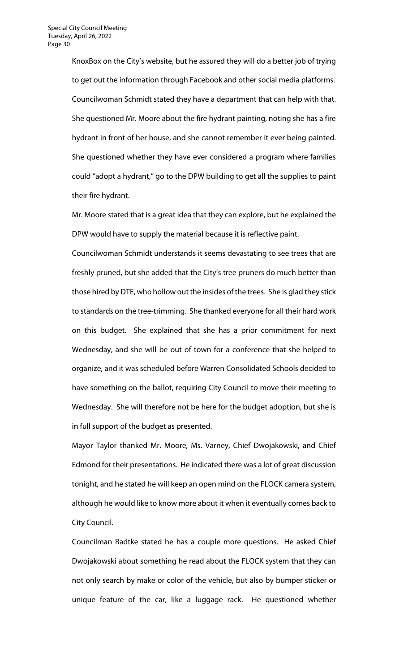KnoxBox on the City's website, but he assured they will do a better job of trying to get out the information through Facebook and other social media platforms. Councilwoman Schmidt stated they have a department that can help with that. She questioned Mr. Moore about the fire hydrant painting, noting she has a fire hydrant in front of her house, and she cannot remember it ever being painted. She questioned whether they have ever considered a program where families could "adopt a hydrant," go to the DPW building to get all the supplies to paint their fire hydrant.

Mr. Moore stated that is a great idea that they can explore, but he explained the DPW would have to supply the material because it is reflective paint.

Councilwoman Schmidt understands it seems devastating to see trees that are freshly pruned, but she added that the City's tree pruners do much better than those hired by DTE, who hollow out the insides of the trees. She is glad they stick to standards on the tree-trimming. She thanked everyone for all their hard work on this budget. She explained that she has a prior commitment for next Wednesday, and she will be out of town for a conference that she helped to organize, and it was scheduled before Warren Consolidated Schools decided to have something on the ballot, requiring City Council to move their meeting to Wednesday. She will therefore not be here for the budget adoption, but she is in full support of the budget as presented.

Mayor Taylor thanked Mr. Moore, Ms. Varney, Chief Dwojakowski, and Chief Edmond for their presentations. He indicated there was a lot of great discussion tonight, and he stated he will keep an open mind on the FLOCK camera system, although he would like to know more about it when it eventually comes back to City Council.

Councilman Radtke stated he has a couple more questions. He asked Chief Dwojakowski about something he read about the FLOCK system that they can not only search by make or color of the vehicle, but also by bumper sticker or unique feature of the car, like a luggage rack. He questioned whether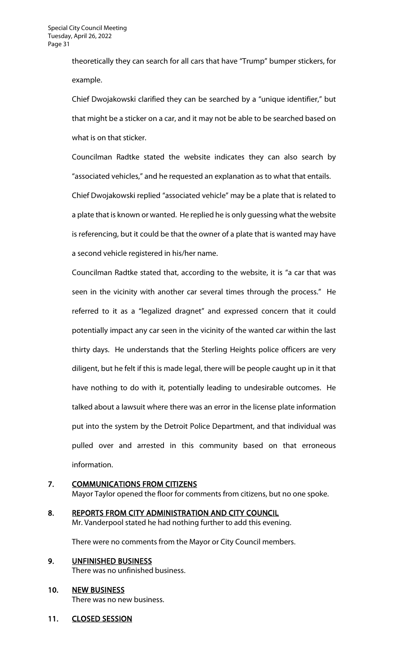theoretically they can search for all cars that have "Trump" bumper stickers, for example.

Chief Dwojakowski clarified they can be searched by a "unique identifier," but that might be a sticker on a car, and it may not be able to be searched based on what is on that sticker.

Councilman Radtke stated the website indicates they can also search by "associated vehicles," and he requested an explanation as to what that entails. Chief Dwojakowski replied "associated vehicle" may be a plate that is related to a plate that is known or wanted. He replied he is only guessing what the website

is referencing, but it could be that the owner of a plate that is wanted may have a second vehicle registered in his/her name.

Councilman Radtke stated that, according to the website, it is "a car that was seen in the vicinity with another car several times through the process." He referred to it as a "legalized dragnet" and expressed concern that it could potentially impact any car seen in the vicinity of the wanted car within the last thirty days. He understands that the Sterling Heights police officers are very diligent, but he felt if this is made legal, there will be people caught up in it that have nothing to do with it, potentially leading to undesirable outcomes. He talked about a lawsuit where there was an error in the license plate information put into the system by the Detroit Police Department, and that individual was pulled over and arrested in this community based on that erroneous information.

# 7. COMMUNICATIONS FROM CITIZENS

Mayor Taylor opened the floor for comments from citizens, but no one spoke.

8. REPORTS FROM CITY ADMINISTRATION AND CITY COUNCIL Mr. Vanderpool stated he had nothing further to add this evening.

There were no comments from the Mayor or City Council members.

# 9. UNFINISHED BUSINESS There was no unfinished business.

- 10. NEW BUSINESS There was no new business.
- 11. CLOSED SESSION